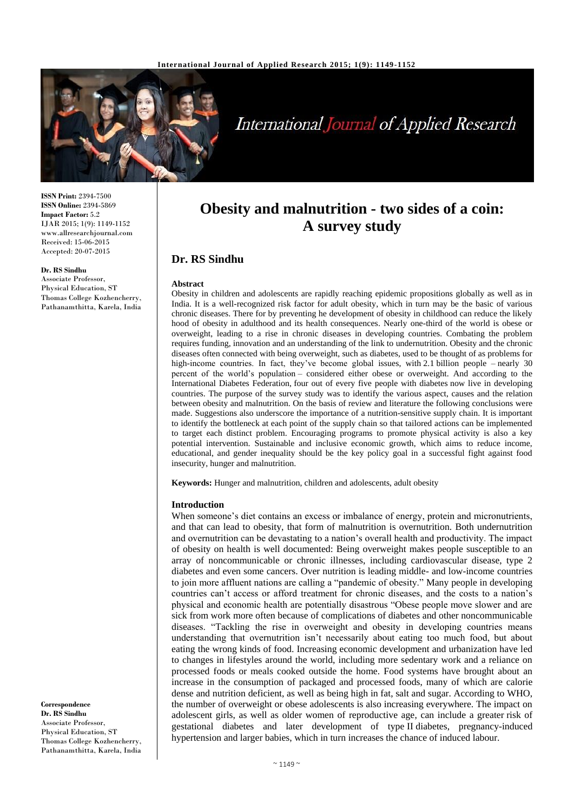

# **International Journal of Applied Research**

**ISSN Print:** 2394-7500 **ISSN Online:** 2394-5869 **Impact Factor:** 5.2 IJAR 2015; 1(9): 1149-1152 www.allresearchjournal.com Received: 15-06-2015 Accepted: 20-07-2015

#### **Dr. RS Sindhu**

Associate Professor, Physical Education, ST Thomas College Kozhencherry, Pathanamthitta, Karela, India

**Obesity and malnutrition - two sides of a coin: A survey study**

## **Dr. RS Sindhu**

#### **Abstract**

Obesity in children and adolescents are rapidly reaching epidemic propositions globally as well as in India. It is a well-recognized risk factor for adult obesity, which in turn may be the basic of various chronic diseases. There for by preventing he development of obesity in childhood can reduce the likely hood of obesity in adulthood and its health consequences. Nearly one-third of the world is obese or overweight, leading to a rise in chronic diseases in developing countries. Combating the problem requires funding, innovation and an understanding of the link to undernutrition. Obesity and the chronic diseases often connected with being overweight, such as diabetes, used to be thought of as problems for high-income countries. In fact, they've become global issues, with 2.1 billion people – nearly 30 percent of the world's population – considered either obese or overweight. And according to the International Diabetes Federation, four out of every five people with diabetes now live in developing countries. The purpose of the survey study was to identify the various aspect, causes and the relation between obesity and malnutrition. On the basis of review and literature the following conclusions were made. Suggestions also underscore the importance of a nutrition-sensitive supply chain. It is important to identify the bottleneck at each point of the supply chain so that tailored actions can be implemented to target each distinct problem. Encouraging programs to promote physical activity is also a key potential intervention. Sustainable and inclusive economic growth, which aims to reduce income, educational, and gender inequality should be the key policy goal in a successful fight against food insecurity, hunger and malnutrition.

**Keywords:** Hunger and malnutrition, children and adolescents, adult obesity

#### **Introduction**

When someone's diet contains an excess or imbalance of energy, protein and micronutrients, and that can lead to obesity, that form of malnutrition is overnutrition. Both undernutrition and overnutrition can be devastating to a nation's overall health and productivity. The impact of obesity on health is well documented: Being overweight makes people susceptible to an array of noncommunicable or chronic illnesses, including cardiovascular disease, type 2 diabetes and even some cancers. Over nutrition is leading middle- and low-income countries to join more affluent nations are calling a "pandemic of obesity." Many people in developing countries can't access or afford treatment for chronic diseases, and the costs to a nation's physical and economic health are potentially disastrous "Obese people move slower and are sick from work more often because of complications of diabetes and other noncommunicable diseases. "Tackling the rise in overweight and obesity in developing countries means understanding that overnutrition isn't necessarily about eating too much food, but about eating the wrong kinds of food. Increasing economic development and urbanization have led to changes in lifestyles around the world, including more sedentary work and a reliance on processed foods or meals cooked outside the home. Food systems have brought about an increase in the consumption of packaged and processed foods, many of which are calorie dense and nutrition deficient, as well as being high in fat, salt and sugar. According to WHO, the number of overweight or obese adolescents is also increasing everywhere. The impact on adolescent girls, as well as older women of reproductive age, can include a greater risk of gestational diabetes and later development of type II diabetes, pregnancy-induced hypertension and larger babies, which in turn increases the chance of induced labour.

**Correspondence Dr. RS Sindhu** Associate Professor, Physical Education, ST Thomas College Kozhencherry, Pathanamthitta, Karela, India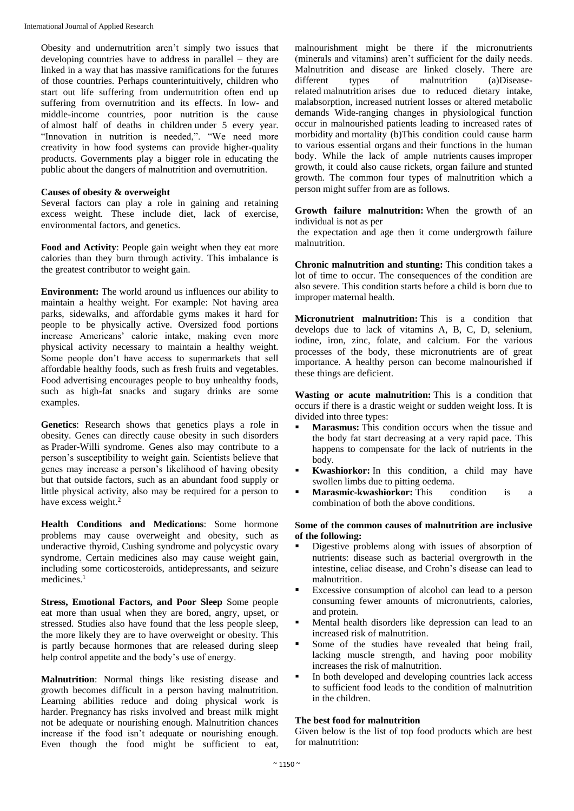Obesity and undernutrition aren't simply two issues that developing countries have to address in parallel – they are linked in a way that has massive ramifications for the futures of those countries. Perhaps counterintuitively, children who start out life suffering from undernutrition often end up suffering from overnutrition and its effects. In low- and middle-income countries, poor nutrition is the cause of almost half of deaths in children under 5 every year. "Innovation in nutrition is needed,". "We need more creativity in how food systems can provide higher-quality products. Governments play a bigger role in educating the public about the dangers of malnutrition and overnutrition.

#### **Causes of obesity & overweight**

Several factors can play a role in gaining and retaining excess weight. These include diet, lack of exercise, environmental factors, and genetics.

**Food and Activity**: People gain weight when they eat more calories than they burn through activity. This imbalance is the greatest contributor to weight gain.

**Environment:** The world around us influences our ability to maintain a healthy weight. For example: Not having area parks, sidewalks, and affordable gyms makes it hard for people to be physically active. Oversized food portions increase Americans' calorie intake, making even more physical activity necessary to maintain a healthy weight. Some people don't have access to supermarkets that sell affordable healthy foods, such as fresh fruits and vegetables. Food advertising encourages people to buy unhealthy foods, such as high-fat snacks and sugary drinks are some examples.

**Genetics**: Research shows that genetics plays a role in obesity. Genes can directly cause obesity in such disorders as Prader-Willi syndrome. Genes also may contribute to a person's susceptibility to weight gain. Scientists believe that genes may increase a person's likelihood of having obesity but that outside factors, such as an abundant food supply or little physical activity, also may be required for a person to have excess weight.<sup>2</sup>

**Health Conditions and Medications**: Some hormone problems may cause overweight and obesity, such as underactive thyroid, Cushing syndrome and polycystic ovary syndrome. Certain medicines also may cause weight gain, including some corticosteroids, antidepressants, and seizure medicines<sup>1</sup>

**Stress, Emotional Factors, and Poor Sleep** Some people eat more than usual when they are bored, angry, upset, or stressed. Studies also have found that the less people sleep, the more likely they are to have overweight or obesity. This is partly because hormones that are released during sleep help control appetite and the body's use of energy.

**Malnutrition**: Normal things like resisting disease and growth becomes difficult in a person having malnutrition. Learning abilities reduce and doing physical work is harder. Pregnancy has risks involved and breast milk might not be adequate or nourishing enough. Malnutrition chances increase if the food isn't adequate or nourishing enough. Even though the food might be sufficient to eat,

malnourishment might be there if the micronutrients (minerals and vitamins) aren't sufficient for the daily needs. Malnutrition and disease are linked closely. There are different types of malnutrition (a)Diseaserelated malnutrition arises due to reduced dietary intake, malabsorption, increased nutrient losses or altered metabolic demands Wide-ranging changes in physiological function occur in malnourished patients leading to increased rates of morbidity and mortality (b)This condition could cause harm to various essential organs and their functions in the human body. While the lack of ample nutrients causes improper growth, it could also cause rickets, organ failure and stunted growth. The common four types of malnutrition which a person might suffer from are as follows.

**Growth failure malnutrition:** When the growth of an individual is not as per

the expectation and age then it come undergrowth failure malnutrition.

**Chronic malnutrition and stunting:** This condition takes a lot of time to occur. The consequences of the condition are also severe. This condition starts before a child is born due to improper maternal health.

**Micronutrient malnutrition:** This is a condition that develops due to lack of vitamins A, B, C, D, selenium, iodine, iron, zinc, folate, and calcium. For the various processes of the body, these micronutrients are of great importance. A healthy person can become malnourished if these things are deficient.

**Wasting or acute malnutrition:** This is a condition that occurs if there is a drastic weight or sudden weight loss. It is divided into three types:

- **Marasmus:** This condition occurs when the tissue and the body fat start decreasing at a very rapid pace. This happens to compensate for the lack of nutrients in the body.
- **Kwashiorkor:** In this condition, a child may have swollen limbs due to pitting oedema.
- **Marasmic-kwashiorkor:** This condition is a combination of both the above conditions.

#### **Some of the common causes of malnutrition are inclusive of the following:**

- Digestive problems along with issues of absorption of nutrients: disease such as bacterial overgrowth in the intestine, celiac disease, and Crohn's disease can lead to malnutrition.
- Excessive consumption of alcohol can lead to a person consuming fewer amounts of micronutrients, calories, and protein.
- Mental health disorders like depression can lead to an increased risk of malnutrition.
- Some of the studies have revealed that being frail, lacking muscle strength, and having poor mobility increases the risk of malnutrition.
- In both developed and developing countries lack access to sufficient food leads to the condition of malnutrition in the children.

### **The best food for malnutrition**

Given below is the list of top food products which are best for malnutrition: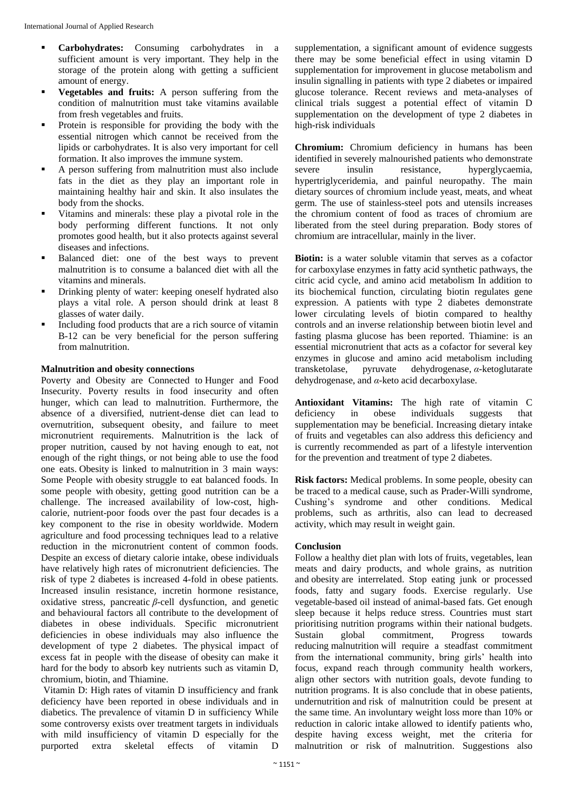- **Carbohydrates:** Consuming carbohydrates in a sufficient amount is very important. They help in the storage of the protein along with getting a sufficient amount of energy.
- **Vegetables and fruits:** A person suffering from the condition of malnutrition must take vitamins available from fresh vegetables and fruits.
- Protein is responsible for providing the body with the essential nitrogen which cannot be received from the lipids or carbohydrates. It is also very important for cell formation. It also improves the immune system.
- A person suffering from malnutrition must also include fats in the diet as they play an important role in maintaining healthy hair and skin. It also insulates the body from the shocks.
- Vitamins and minerals: these play a pivotal role in the body performing different functions. It not only promotes good health, but it also protects against several diseases and infections.
- Balanced diet: one of the best ways to prevent malnutrition is to consume a balanced diet with all the vitamins and minerals.
- Drinking plenty of water: keeping oneself hydrated also plays a vital role. A person should drink at least 8 glasses of water daily.
- Including food products that are a rich source of vitamin B-12 can be very beneficial for the person suffering from malnutrition.

### **Malnutrition and obesity connections**

Poverty and Obesity are Connected to Hunger and Food Insecurity. Poverty results in food insecurity and often hunger, which can lead to malnutrition. Furthermore, the absence of a diversified, nutrient-dense diet can lead to overnutrition, subsequent obesity, and failure to meet micronutrient requirements. Malnutrition is the lack of proper nutrition, caused by not having enough to eat, not enough of the right things, or not being able to use the food one eats. Obesity is linked to malnutrition in 3 main ways: Some People with obesity struggle to eat balanced foods. In some people with obesity, getting good nutrition can be a challenge. The increased availability of low-cost, highcalorie, nutrient-poor foods over the past four decades is a key component to the rise in obesity worldwide. Modern agriculture and food processing techniques lead to a relative reduction in the micronutrient content of common foods. Despite an excess of dietary calorie intake, obese individuals have relatively high rates of micronutrient deficiencies. The risk of type 2 diabetes is increased 4-fold in obese patients. Increased insulin resistance, incretin hormone resistance, oxidative stress, pancreatic *β*-cell dysfunction, and genetic and behavioural factors all contribute to the development of diabetes in obese individuals. Specific micronutrient deficiencies in obese individuals may also influence the development of type 2 diabetes. The physical impact of excess fat in people with the disease of obesity can make it hard for the body to absorb key nutrients such as vitamin D, chromium, biotin, and Thiamine.

Vitamin D: High rates of vitamin D insufficiency and frank deficiency have been reported in obese individuals and in diabetics. The prevalence of vitamin D in sufficiency While some controversy exists over treatment targets in individuals with mild insufficiency of vitamin D especially for the purported extra skeletal effects of vitamin D

supplementation, a significant amount of evidence suggests there may be some beneficial effect in using vitamin D supplementation for improvement in glucose metabolism and insulin signalling in patients with type 2 diabetes or impaired glucose tolerance. Recent reviews and meta-analyses of clinical trials suggest a potential effect of vitamin D supplementation on the development of type 2 diabetes in high-risk individuals

**Chromium:** Chromium deficiency in humans has been identified in severely malnourished patients who demonstrate severe insulin resistance, hyperglycaemia, hypertriglyceridemia, and painful neuropathy. The main dietary sources of chromium include yeast, meats, and wheat germ. The use of stainless-steel pots and utensils increases the chromium content of food as traces of chromium are liberated from the steel during preparation. Body stores of chromium are intracellular, mainly in the liver.

**Biotin:** is a water soluble vitamin that serves as a cofactor for carboxylase enzymes in fatty acid synthetic pathways, the citric acid cycle, and amino acid metabolism In addition to its biochemical function, circulating biotin regulates gene expression. A patients with type 2 diabetes demonstrate lower circulating levels of biotin compared to healthy controls and an inverse relationship between biotin level and fasting plasma glucose has been reported. Thiamine: is an essential micronutrient that acts as a cofactor for several key enzymes in glucose and amino acid metabolism including transketolase, pyruvate dehydrogenase, *α*-ketoglutarate dehydrogenase, and *α*-keto acid decarboxylase.

**Antioxidant Vitamins:** The high rate of vitamin C deficiency in obese individuals suggests that supplementation may be beneficial. Increasing dietary intake of fruits and vegetables can also address this deficiency and is currently recommended as part of a lifestyle intervention for the prevention and treatment of type 2 diabetes.

**Risk factors:** Medical problems. In some people, obesity can be traced to a medical cause, such as Prader-Willi syndrome, Cushing's syndrome and other conditions. Medical problems, such as arthritis, also can lead to decreased activity, which may result in weight gain.

### **Conclusion**

Follow a healthy diet plan with lots of fruits, vegetables, lean meats and dairy products, and whole grains, as nutrition and obesity are interrelated. Stop eating junk or processed foods, fatty and sugary foods. Exercise regularly. Use vegetable-based oil instead of animal-based fats. Get enough sleep because it helps reduce stress. Countries must start prioritising nutrition programs within their national budgets. Sustain global commitment, Progress towards reducing malnutrition will require a steadfast commitment from the international community, bring girls' health into focus, expand reach through community health workers, align other sectors with nutrition goals, devote funding to nutrition programs. It is also conclude that in obese patients, undernutrition and risk of malnutrition could be present at the same time. An involuntary weight loss more than 10% or reduction in caloric intake allowed to identify patients who, despite having excess weight, met the criteria for malnutrition or risk of malnutrition. Suggestions also